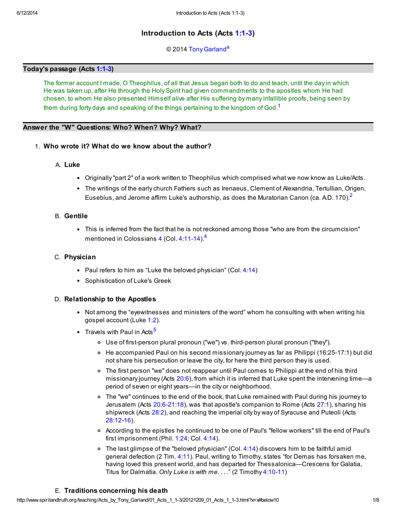# Introduction to Acts (Acts [1:1-3](http://www.spiritandtruth.org/bibles/nasb/b44c001.htm#Acts_C1V1))

<span id="page-0-4"></span><span id="page-0-1"></span><span id="page-0-0"></span>© 2014 [Tony Garland](http://www.spiritandtruth.org/id/tg.htm)<sup>[a](#page-7-0)</sup>

# Today's passage (Acts [1:1-3](http://www.spiritandtruth.org/bibles/nasb/b44c001.htm#Acts_C1V1))

The former account I made, O Theophilus, of all that Jesus began both to do and teach, until the day in which He was taken up, after He through the Holy Spirit had given commandments to the apostles whom He had chosen, to whom He also presented Himself alive after His suffering by many infallible proofs, being seen by them during forty days and speaking of the things pertaining to the kingdom of God.<sup>[1](#page-6-0)</sup>

## Answer the "W" Questions: Who? When? Why? What?

# 1. Who wrote it? What do we know about the author?

## A. Luke

- Originally "part 2" of a work written to Theophilus which comprised what we now know as Luke/Acts.
- The writings of the early church Fathers such as Irenaeus, Clement of Alexandria, Tertullian, Origen, Eusebius, and Jerome affirm Luke's authorship, as does the Muratorian Canon (ca. A.D. 170).<sup>[2](#page-6-1)</sup>

## B. Gentile

<span id="page-0-2"></span>• This is inferred from the fact that he is not reckoned among those "who are from the circumcision" mentioned in Colossians [4](http://www.spiritandtruth.org/bibles/nasb/b51c004.htm#Col._C4V1) (Col. [4:11-14](http://www.spiritandtruth.org/bibles/nasb/b51c004.htm#Col._C4V11)).<sup>[4](#page-6-2)</sup>

### C. Physician

- Paul refers to him as "Luke the beloved physician" (Col.  $4:14$ )
- Sophistication of Luke's Greek

# D. Relationship to the Apostles

- Not among the "eyewitnesses and ministers of the word" whom he consulting with when writing his gospel account (Luke [1:2](http://www.spiritandtruth.org/bibles/nasb/b42c001.htm#Luke_C1V2)).
- <span id="page-0-3"></span>• Travels with Paul in Acts<sup>[5](#page-6-3)</sup>
	- Use of first-person plural pronoun ("we") vs. third-person plural pronoun ("they").
	- o He accompanied Paul on his second missionary journey as far as Philippi (16:25-17:1) but did not share his persecution or leave the city, for here the third person they is used.
	- The first person "we" does not reappear until Paul comes to Philippi at the end of his third missionary journey (Acts [20:6](http://www.spiritandtruth.org/bibles/nasb/b44c020.htm#Acts_C20V6)), from which it is inferred that Luke spent the intervening time—a period of seven or eight years—in the city or neighborhood.
	- The "we" continues to the end of the book, that Luke remained with Paul during his journey to Jerusalem (Acts [20:6-21](http://www.spiritandtruth.org/bibles/nasb/b44c020.htm#Acts_C20V6)[:18](http://www.spiritandtruth.org/bibles/nasb/b44c020.htm#Acts_C20V18)), was that apostle's companion to Rome (Acts [27:1\)](http://www.spiritandtruth.org/bibles/nasb/b44c027.htm#Acts_C27V1), sharing his shipwreck (Acts [28:2](http://www.spiritandtruth.org/bibles/nasb/b44c028.htm#Acts_C28V2)), and reaching the imperial city by way of Syracuse and Puteoli (Acts [28:12-16\)](http://www.spiritandtruth.org/bibles/nasb/b44c028.htm#Acts_C28V12).
	- According to the epistles he continued to be one of Paul's "fellow workers" till the end of Paul's first imprisonment (Phil. [1:24](http://www.spiritandtruth.org/bibles/nasb/b57c001.htm#Phm._C1V24); Col. [4:14](http://www.spiritandtruth.org/bibles/nasb/b51c004.htm#Col._C4V14)).
	- $\circ$  The last glimpse of the "beloved physician" (Col. [4:14\)](http://www.spiritandtruth.org/bibles/nasb/b51c004.htm#Col._C4V14) discovers him to be faithful amid general defection (2 Tim. [4:11](http://www.spiritandtruth.org/bibles/nasb/b55c004.htm#2Ti._C4V11)). Paul, writing to Timothy, states "for Demas has forsaken me, having loved this present world, and has departed for Thessalonica—Crescens for Galatia, Titus for Dalmatia. Only Luke is with me. . . ." (2 Timothy [4:10-11\)](http://www.spiritandtruth.org/bibles/nasb/b55c004.htm#2Ti._C4V10)

#### E. Traditions concerning his death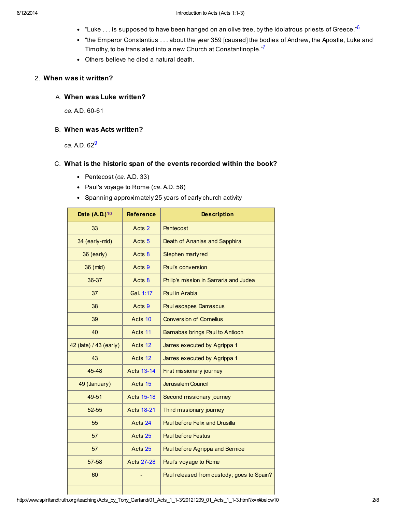- <span id="page-1-0"></span> $\bullet$  "Luke ... is supposed to have been hanged on an olive tree, by the idolatrous priests of Greece." $\delta$
- "the Emperor Constantius . . . about the year 359 [caused] the bodies of Andrew, the Apostle, Luke and Timothy, to be translated into a new Church at Constantinople."<sup>[7](#page-6-5)</sup>
- <span id="page-1-1"></span>Others believe he died a natural death.

### 2. When was it written?

A. When was Luke written?

ca. A.D. 60-61

B. When was Acts written?

<span id="page-1-2"></span> $ca.$  A.D.  $62<sup>9</sup>$  $62<sup>9</sup>$  $62<sup>9</sup>$ 

# C. What is the historic span of the events recorded within the book?

- Pentecost  $(ca.$  A.D. 33)
- Paul's voyage to Rome (ca. A.D. 58)
- <span id="page-1-3"></span>• Spanning approximately 25 years of early church activity

| <b>Reference</b>  | <b>Description</b>                         |
|-------------------|--------------------------------------------|
| Acts 2            | Pentecost                                  |
| Acts <sub>5</sub> | Death of Ananias and Sapphira              |
| Acts 8            | Stephen martyred                           |
| Acts 9            | Paul's conversion                          |
| Acts 8            | Philip's mission in Samaria and Judea      |
| Gal. 1:17         | Paul in Arabia                             |
| Acts 9            | <b>Paul escapes Damascus</b>               |
| Acts 10           | <b>Conversion of Cornelius</b>             |
| Acts 11           | Barnabas brings Paul to Antioch            |
| Acts 12           | James executed by Agrippa 1                |
| Acts 12           | James executed by Agrippa 1                |
| <b>Acts 13-14</b> | First missionary journey                   |
| Acts 15           | Jerusalem Council                          |
| <b>Acts 15-18</b> | Second missionary journey                  |
| <b>Acts 18-21</b> | Third missionary journey                   |
| Acts 24           | Paul before Felix and Drusilla             |
| Acts 25           | <b>Paul before Festus</b>                  |
| Acts 25           | Paul before Agrippa and Bernice            |
| <b>Acts 27-28</b> | Paul's voyage to Rome                      |
|                   | Paul released from custody; goes to Spain? |
|                   |                                            |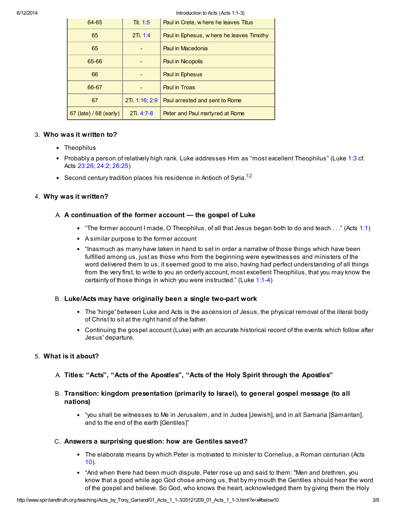#### 6/12/2014 Introduction to Acts (Acts 1:1-3)

| 64-65                  | Tit. $1:5$    | Paul in Crete, w here he leaves Titus     |
|------------------------|---------------|-------------------------------------------|
| 65                     | 2Ti. 1:4      | Paul in Ephesus, w here he leaves Timothy |
| 65                     |               | Paul in Macedonia                         |
| 65-66                  |               | <b>Paul in Nicopolis</b>                  |
| 66                     |               | Paul in Ephesus                           |
| 66-67                  |               | Paul in Troas                             |
| 67                     | 2Ti 1:16, 2:9 | Paul arrested and sent to Rome            |
| 67 (late) / 68 (early) | $2Ti. 4:7-8$  | Peter and Paul martyred at Rome           |

#### 3. Who was it written to?

- Theophilus
- Probably a person of relatively high rank. Luke addresses Him as "most excellent Theophilus" (Luke [1:3](http://www.spiritandtruth.org/bibles/nasb/b42c001.htm#Luke_C1V3) cf. Acts [23:26](http://www.spiritandtruth.org/bibles/nasb/b44c023.htm#Acts_C23V26); [24:2](http://www.spiritandtruth.org/bibles/nasb/b44c024.htm#Acts_C24V2); [26:25\)](http://www.spiritandtruth.org/bibles/nasb/b44c026.htm#Acts_C26V25)
- Second century tradition places his residence in Antioch of Syria.<sup>[12](#page-7-3)</sup>

# 4. Why was it written?

# A. A continuation of the former account — the gospel of Luke

- <span id="page-2-0"></span>"The former account I made, O Theophilus, of all that Jesus began both to do and teach . . ." (Acts [1:1\)](http://www.spiritandtruth.org/bibles/nasb/b44c001.htm#Acts_C1V1)
- A similar purpose to the former account
- "Inasmuch as many have taken in hand to set in order a narrative of those things which have been fulfilled among us, just as those who from the beginning were eyewitnesses and ministers of the word delivered them to us, it seemed good to me also, having had perfect understanding of all things from the very first, to write to you an orderly account, most excellent Theophilus, that you may know the certainty of those things in which you were instructed." (Luke [1:1-4](http://www.spiritandtruth.org/bibles/nasb/b42c001.htm#Luke_C1V1))

#### B. Luke/Acts may have originally been a single two-part work

- The 'hinge' between Luke and Acts is the ascension of Jesus, the physical removal of the literal body of Christ to sit at the right hand of the father.
- Continuing the gospel account (Luke) with an accurate historical record of the events which follow after Jesus' departure.

# 5. What is it about?

- A. Titles: "Acts", "Acts of the Apostles", "Acts of the Holy Spirit through the Apostles"
- B. Transition: kingdom presentation (primarily to Israel), to general gospel message (to all nations)
	- "you shall be witnesses to Me in Jerusalem, and in Judea [Jewish], and in all Samaria [Samaritan], and to the end of the earth [Gentiles]"

#### C. Answers a surprising question: how are Gentiles saved?

- The elaborate means by which Peter is motivated to minister to Cornelius, a Roman centurian (Acts [10\)](http://www.spiritandtruth.org/bibles/nasb/b44c010.htm#Acts_C10V1).
- "And when there had been much dispute, Peter rose up and said to them: "Men and brethren, you know that a good while ago God chose among us, that by my mouth the Gentiles should hear the word of the gospel and believe. So God, who knows the heart, acknowledged them by giving them the Holy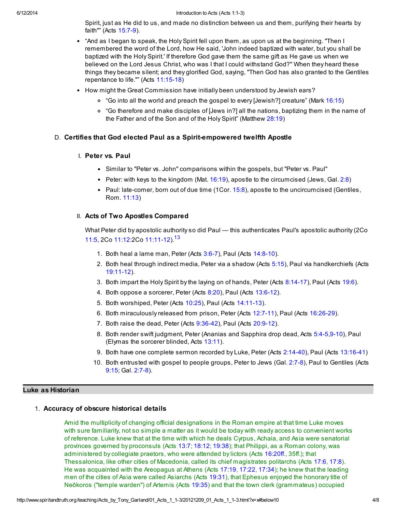Spirit, just as He did to us, and made no distinction between us and them, purifying their hearts by faith"" (Acts [15:7-9\)](http://www.spiritandtruth.org/bibles/nasb/b44c015.htm#Acts_C15V7).

- "And as I began to speak, the Holy Spirit fell upon them, as upon us at the beginning. "Then I remembered the word of the Lord, how He said, 'John indeed baptized with water, but you shall be baptized with the Holy Spirit.' If therefore God gave them the same gift as He gave us when we believed on the Lord Jesus Christ, who was I that I could withstand God?" When they heard these things they became silent; and they glorified God, saying, "Then God has also granted to the Gentiles repentance to life."" (Acts [11:15-18](http://www.spiritandtruth.org/bibles/nasb/b44c011.htm#Acts_C11V15))
- How might the Great Commission have initially been understood by Jewish ears?
	- "Go into all the world and preach the gospel to every [Jewish?] creature" (Mark [16:15\)](http://www.spiritandtruth.org/bibles/nasb/b41c016.htm#Mark_C16V15)
	- "Go therefore and make disciples of [Jews in?] all the nations, baptizing them in the name of the Father and of the Son and of the Holy Spirit" (Matthew [28:19](http://www.spiritandtruth.org/bibles/nasb/b40c028.htm#Mat._C28V19))

## D. Certifies that God elected Paul as a Spirit-empowered twelfth Apostle

#### I. Peter vs. Paul

- Similar to "Peter vs. John" comparisons within the gospels, but "Peter vs. Paul"
- Peter: with keys to the kingdom (Mat.  $16:19$ ), apostle to the circumcised (Jews, Gal. [2:8\)](http://www.spiritandtruth.org/bibles/nasb/b48c002.htm#Gal._C2V8)
- Paul: late-comer, born out of due time  $(1Cor. 15:8)$  $(1Cor. 15:8)$ , apostle to the uncircumcised (Gentiles, Rom. [11:13\)](http://www.spiritandtruth.org/bibles/nasb/b45c011.htm#Rom._C11V13)

#### II. Acts of Two Apostles Compared

What Peter did by apostolic authority so did Paul — this authenticates Paul's apostolic authority (2Co [11:5,](http://www.spiritandtruth.org/bibles/nasb/b47c011.htm#2Cor._C11V5) 2Co [11:12](http://www.spiritandtruth.org/bibles/nasb/b47c011.htm#2Cor._C11V12):2Co [11:11-12\)](http://www.spiritandtruth.org/bibles/nasb/b47c011.htm#2Cor._C11V11).[13](#page-7-4)

- <span id="page-3-0"></span>1. Both heal a lame man, Peter (Acts [3:6-7](http://www.spiritandtruth.org/bibles/nasb/b44c003.htm#Acts_C3V6)), Paul (Acts [14:8-10](http://www.spiritandtruth.org/bibles/nasb/b44c014.htm#Acts_C14V8)).
- 2. Both heal through indirect media, Peter via a shadow (Acts [5:15\)](http://www.spiritandtruth.org/bibles/nasb/b44c005.htm#Acts_C5V15), Paul via handkerchiefs (Acts [19:11-12\)](http://www.spiritandtruth.org/bibles/nasb/b44c019.htm#Acts_C19V11).
- 3. Both impart the Holy Spirit by the laying on of hands, Peter (Acts [8:14-17](http://www.spiritandtruth.org/bibles/nasb/b44c008.htm#Acts_C8V14)), Paul (Acts [19:6\)](http://www.spiritandtruth.org/bibles/nasb/b44c019.htm#Acts_C19V6).
- 4. Both oppose a sorcerer, Peter (Acts [8:20\)](http://www.spiritandtruth.org/bibles/nasb/b44c008.htm#Acts_C8V20), Paul (Acts [13:6-12\)](http://www.spiritandtruth.org/bibles/nasb/b44c013.htm#Acts_C13V6).
- 5. Both worshiped, Peter (Acts [10:25\)](http://www.spiritandtruth.org/bibles/nasb/b44c010.htm#Acts_C10V25), Paul (Acts [14:11-13](http://www.spiritandtruth.org/bibles/nasb/b44c014.htm#Acts_C14V11)).
- 6. Both miraculously released from prison, Peter (Acts [12:7-11\)](http://www.spiritandtruth.org/bibles/nasb/b44c012.htm#Acts_C12V7), Paul (Acts [16:26-29](http://www.spiritandtruth.org/bibles/nasb/b44c016.htm#Acts_C16V26)).
- 7. Both raise the dead, Peter (Acts [9:36-42](http://www.spiritandtruth.org/bibles/nasb/b44c009.htm#Acts_C9V36)), Paul (Acts [20:9-12](http://www.spiritandtruth.org/bibles/nasb/b44c020.htm#Acts_C20V9)).
- 8. Both render swift judgment, Peter (Ananias and Sapphira drop dead, Acts [5:4-5](http://www.spiritandtruth.org/bibles/nasb/b44c005.htm#Acts_C5V4)[,9-10](http://www.spiritandtruth.org/bibles/nasb/b44c005.htm#Acts_C5V9)), Paul (Elymas the sorcerer blinded, Acts [13:11\)](http://www.spiritandtruth.org/bibles/nasb/b44c013.htm#Acts_C13V11).
- 9. Both have one complete sermon recorded by Luke, Peter (Acts [2:14-40\)](http://www.spiritandtruth.org/bibles/nasb/b44c002.htm#Acts_C2V14), Paul (Acts [13:16-41\)](http://www.spiritandtruth.org/bibles/nasb/b44c013.htm#Acts_C13V16)
- 10. Both entrusted with gospel to people groups, Peter to Jews (Gal. [2:7-8](http://www.spiritandtruth.org/bibles/nasb/b48c002.htm#Gal._C2V7)), Paul to Gentiles (Acts [9:15;](http://www.spiritandtruth.org/bibles/nasb/b44c009.htm#Acts_C9V15) Gal. [2:7-8](http://www.spiritandtruth.org/bibles/nasb/b48c002.htm#Gal._C2V7)).

#### Luke as Historian

#### 1. Accuracy of obscure historical details

Amid the multiplicity of changing official designations in the Roman empire at that time Luke moves with sure familiarity, not so simple a matter as it would be today with ready access to convenient works of reference. Luke knew that at the time with which he deals Cyrpus, Achaia, and Asia were senatorial provinces governed by proconsuls (Acts [13:7;](http://www.spiritandtruth.org/bibles/nasb/b44c013.htm#Acts_C13V7) [18:12;](http://www.spiritandtruth.org/bibles/nasb/b44c018.htm#Acts_C18V12) [19:38](http://www.spiritandtruth.org/bibles/nasb/b44c019.htm#Acts_C19V38)); that Philippi, as a Roman colony, was administered by collegiate praetors, who were attended by lictors (Acts [16:20ff](http://www.spiritandtruth.org/bibles/nasb/b44c016.htm#Acts_C16V20)., 35ff.); that Thessalonica, like other cities of Macedonia, called its chief magistrates politarchs (Acts [17:6,](http://www.spiritandtruth.org/bibles/nasb/b44c017.htm#Acts_C17V6) [17:8\)](http://www.spiritandtruth.org/bibles/nasb/b44c017.htm#Acts_C17V8). He was acquainted with the Areopagus at Athens (Acts [17:19](http://www.spiritandtruth.org/bibles/nasb/b44c017.htm#Acts_C17V19), [17:22](http://www.spiritandtruth.org/bibles/nasb/b44c017.htm#Acts_C17V22), [17:34\)](http://www.spiritandtruth.org/bibles/nasb/b44c017.htm#Acts_C17V34); he knew that the leading men of the cities of Asia were called Asiarchs (Acts [19:31\)](http://www.spiritandtruth.org/bibles/nasb/b44c019.htm#Acts_C19V31), that Ephesus enjoyed the honorary title of Neōkoros ("temple warden") of Artemis (Acts [19:35](http://www.spiritandtruth.org/bibles/nasb/b44c019.htm#Acts_C19V35)) and that the town clerk (grammateus) occupied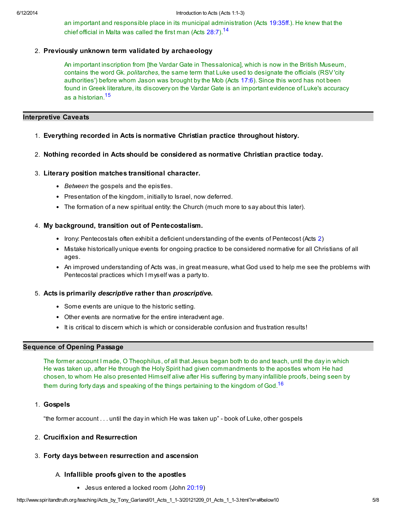<span id="page-4-0"></span>an important and responsible place in its municipal administration (Acts [19:35ff](http://www.spiritandtruth.org/bibles/nasb/b44c019.htm#Acts_C19V35).). He knew that the chief official in Malta was called the first man (Acts [28:7\)](http://www.spiritandtruth.org/bibles/nasb/b44c028.htm#Acts_C28V7).<sup>[14](#page-7-5)</sup>

## 2. Previously unknown term validated by archaeology

<span id="page-4-1"></span>An important inscription from [the Vardar Gate in Thessalonica], which is now in the British Museum, contains the word Gk. politarches, the same term that Luke used to designate the officials (RSV 'city authorities') before whom Jason was brought by the Mob (Acts [17:6\)](http://www.spiritandtruth.org/bibles/nasb/b44c017.htm#Acts_C17V6). Since this word has not been found in Greek literature, its discovery on the Vardar Gate is an important evidence of Luke's accuracy as a historian.[15](#page-7-6)

### Interpretive Caveats

- 1. Everything recorded in Acts is normative Christian practice throughout history.
- 2. Nothing recorded in Acts should be considered as normative Christian practice today.

#### 3. Literary position matches transitional character.

- Between the gospels and the epistles.
- Presentation of the kingdom, initially to Israel, now deferred.
- The formation of a new spiritual entity: the Church (much more to say about this later).

## 4. My background, transition out of Pentecostalism.

- Irony: Pentecostals often exhibit a deficient understanding of the events of Pentecost (Acts [2\)](http://www.spiritandtruth.org/bibles/nasb/b44c002.htm#Acts_C2V1)
- Mistake historically unique events for ongoing practice to be considered normative for all Christians of all ages.
- An improved understanding of Acts was, in great measure, what God used to help me see the problems with Pentecostal practices which I myself was a party to.

#### 5. Acts is primarily descriptive rather than proscriptive.

- Some events are unique to the historic setting.
- Other events are normative for the entire interadvent age.
- It is critical to discern which is which or considerable confusion and frustration results!

# Sequence of Opening Passage

The former account I made, O Theophilus, of all that Jesus began both to do and teach, until the day in which He was taken up, after He through the Holy Spirit had given commandments to the apostles whom He had chosen, to whom He also presented Himself alive after His suffering by many infallible proofs, being seen by them during forty days and speaking of the things pertaining to the kingdom of God.<sup>[16](#page-7-7)</sup>

1. Gospels

"the former account . . . until the day in which He was taken up" - book of Luke, other gospels

# 2. Crucifixion and Resurrection

# 3. Forty days between resurrection and ascension

# A. Infallible proofs given to the apostles

<span id="page-4-2"></span>Jesus entered a locked room (John [20:19](http://www.spiritandtruth.org/bibles/nasb/b43c020.htm#John_C20V19))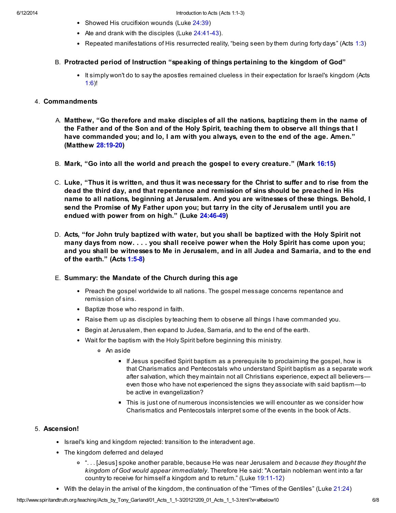- Showed His crucifixion wounds (Luke [24:39\)](http://www.spiritandtruth.org/bibles/nasb/b42c024.htm#Luke_C24V39)
- Ate and drank with the disciples (Luke [24:41-43\)](http://www.spiritandtruth.org/bibles/nasb/b42c024.htm#Luke_C24V41).
- Repeated manifestations of His resurrected reality, "being seen by them during forty days" (Acts [1:3](http://www.spiritandtruth.org/bibles/nasb/b44c001.htm#Acts_C1V3))

# B. Protracted period of Instruction "speaking of things pertaining to the kingdom of God"

• It simply won't do to say the apostles remained clueless in their expectation for Israel's kingdom (Acts [1:6](http://www.spiritandtruth.org/bibles/nasb/b44c001.htm#Acts_C1V6))!

## 4. Commandments

- A. Matthew, "Go therefore and make disciples of all the nations, baptizing them in the name of the Father and of the Son and of the Holy Spirit, teaching them to observe all things that I have commanded you; and lo, I am with you always, even to the end of the age. Amen." (Matthew [28:19-20](http://www.spiritandtruth.org/bibles/nasb/b40c028.htm#Mat._C28V19))
- B. Mark, "Go into all the world and preach the gospel to every creature." (Mark [16:15\)](http://www.spiritandtruth.org/bibles/nasb/b41c016.htm#Mark_C16V15)
- C. Luke, "Thus it is written, and thus it was necessary for the Christ to suffer and to rise from the dead the third day, and that repentance and remission of sins should be preached in His name to all nations, beginning at Jerusalem. And you are witnesses of these things. Behold, I send the Promise of My Father upon you; but tarry in the city of Jerusalem until you are endued with power from on high." (Luke [24:46-49](http://www.spiritandtruth.org/bibles/nasb/b42c024.htm#Luke_C24V46))
- D. Acts, "for John truly baptized with water, but you shall be baptized with the Holy Spirit not many days from now. . . . you shall receive power when the Holy Spirit has come upon you; and you shall be witnesses to Me in Jerusalem, and in all Judea and Samaria, and to the end of the earth." (Acts [1:5-8](http://www.spiritandtruth.org/bibles/nasb/b44c001.htm#Acts_C1V5))

# E. Summary: the Mandate of the Church during this age

- Preach the gospel worldwide to all nations. The gospel message concerns repentance and remission of sins.
- Baptize those who respond in faith.
- Raise them up as disciples by teaching them to observe all things I have commanded you.
- Begin at Jerusalem, then expand to Judea, Samaria, and to the end of the earth.
- Wait for the baptism with the Holy Spirit before beginning this ministry.
	- An aside
		- If Jesus specified Spirit baptism as a prerequisite to proclaiming the gospel, how is that Charismatics and Pentecostals who understand Spirit baptism as a separate work after salvation, which they maintain not all Christians experience, expect all believers even those who have not experienced the signs they associate with said baptism—to be active in evangelization?
		- This is just one of numerous inconsistencies we will encounter as we consider how Charismatics and Pentecostals interpret some of the events in the book of Acts.

# 5. Ascension!

- Israel's king and kingdom rejected: transition to the interadvent age.
- The kingdom deferred and delayed
	- o "... [Jesus] spoke another parable, because He was near Jerusalem and because they thought the kingdom of God would appear immediately. Therefore He said: "A certain nobleman went into a far country to receive for himself a kingdom and to return." (Luke [19:11-12\)](http://www.spiritandtruth.org/bibles/nasb/b42c019.htm#Luke_C19V11)
- With the delay in the arrival of the kingdom, the continuation of the "Times of the Gentiles" (Luke [21:24\)](http://www.spiritandtruth.org/bibles/nasb/b42c021.htm#Luke_C21V24)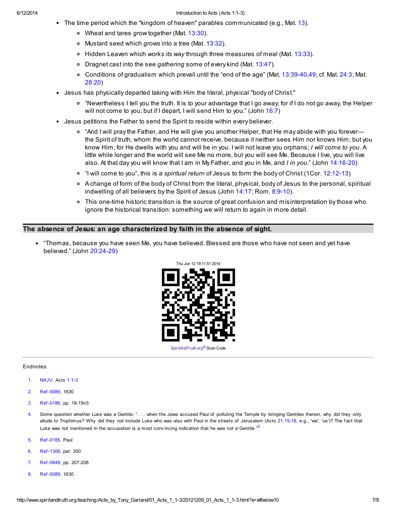#### 6/12/2014 Introduction to Acts (Acts 1:1-3)

- The time period which the "kingdom of heaven" parables communicated (e.g., Mat. [13\)](http://www.spiritandtruth.org/bibles/nasb/b40c013.htm#Mat._C13V1).
	- o Wheat and tares grow together (Mat. [13:30\)](http://www.spiritandtruth.org/bibles/nasb/b40c013.htm#Mat._C13V30).
	- o Mustard seed which grows into a tree (Mat. [13:32\)](http://www.spiritandtruth.org/bibles/nasb/b40c013.htm#Mat._C13V32).
	- $\circ$  Hidden Leaven which works its way through three measures of meal (Mat. [13:33\)](http://www.spiritandtruth.org/bibles/nasb/b40c013.htm#Mat._C13V33).
	- o Dragnet cast into the see gathering some of every kind (Mat.  $13:47$ ).
	- Conditions of gradualism which prevail until the "end of the age" (Mat. [13:39-40](http://www.spiritandtruth.org/bibles/nasb/b40c013.htm#Mat._C13V39)[,49;](http://www.spiritandtruth.org/bibles/nasb/b40c013.htm#Mat._C13V49) cf. Mat. [24:3;](http://www.spiritandtruth.org/bibles/nasb/b40c024.htm#Mat._C24V3) Mat.  $\circ$ [28:20](http://www.spiritandtruth.org/bibles/nasb/b40c028.htm#Mat._C28V20))
- Jesus has physically departed taking with Him the literal, physical "body of Christ."
	- "Nevertheless I tell you the truth. It is to your advantage that I go away; for if I do not go away, the Helper will not come to you; but if I depart, I will send Him to you." (John [16:7](http://www.spiritandtruth.org/bibles/nasb/b43c016.htm#John_C16V7))
- Jesus petitions the Father to send the Spirit to reside within every believer.
	- "And I will pray the Father, and He will give you another Helper, that He may abide with you forever the Spirit of truth, whom the world cannot receive, because it neither sees Him nor knows Him; but you know Him, for He dwells with you and will be in you. I will not leave you orphans; I will come to you. A little while longer and the world will see Me no more, but you will see Me. Because I live, you will live also. At that day you will know that I am in My Father, and you in Me, and I in you." (John [14:16-20\)](http://www.spiritandtruth.org/bibles/nasb/b43c014.htm#John_C14V16)
	- <sup>o</sup> "I will come to you", this is a *spiritual return* of Jesus to form the body of Christ (1Cor. [12:12-13](http://www.spiritandtruth.org/bibles/nasb/b46c012.htm#1Cor._C12V12))
	- A change of form of the body of Christ from the literal, physical, body of Jesus to the personal, spiritual indwelling of all believers by the Spirit of Jesus (John [14:17](http://www.spiritandtruth.org/bibles/nasb/b43c014.htm#John_C14V17); Rom. [8:9-10\)](http://www.spiritandtruth.org/bibles/nasb/b45c008.htm#Rom._C8V9).
	- o This one-time historic transition is the source of great confusion and misinterpretation by those who ignore the historical transition: something we will return to again in more detail.

#### The absence of Jesus: an age characterized by faith in the absence of sight.

"Thomas, because you have seen Me, you have believed. Blessed are those who have not seen and yet have believed." (John [20:24-29\)](http://www.spiritandtruth.org/bibles/nasb/b43c020.htm#John_C20V24)

<span id="page-6-9"></span><span id="page-6-6"></span>

#### Endnotes:

- <span id="page-6-0"></span>[1.](#page-0-0) NKJV, Acts [1:1-3](http://www.spiritandtruth.org/bibles/nasb/b44c001.htm#Acts_C1V1)
- <span id="page-6-1"></span>[2.](#page-0-1) Ref -0089, 1630
- <span id="page-6-7"></span>[3.](#page-6-6) Ref -0186, pp. 18-19n3
- <span id="page-6-2"></span>[4.](#page-0-2) Some question whether Luke was a Gentile: ". . . when the Jews accused Paul of polluting the Temple by bringing Gentiles therein, why did they only allude to Trophimus? Why did they not include Luke who was also with Paul in the streets of Jerusalem (Acts [21:15-18](http://www.spiritandtruth.org/bibles/nasb/b44c021.htm#Acts_C21V15), e.g., 'we', 'us')? The fact that Luke was not mentioned in the accusation is a most convincing indication that he was not a Gentile.<sup>[3](#page-6-7)3</sup>
- <span id="page-6-3"></span>[5.](#page-0-3) Ref -0185, Paul
- <span id="page-6-4"></span>[6.](#page-1-0) Ref -1306, par. 300
- <span id="page-6-5"></span>[7.](#page-1-1) Ref -0849, pp. 207-208
- <span id="page-6-8"></span>[8.](#page-7-9) Ref -0089, 1630